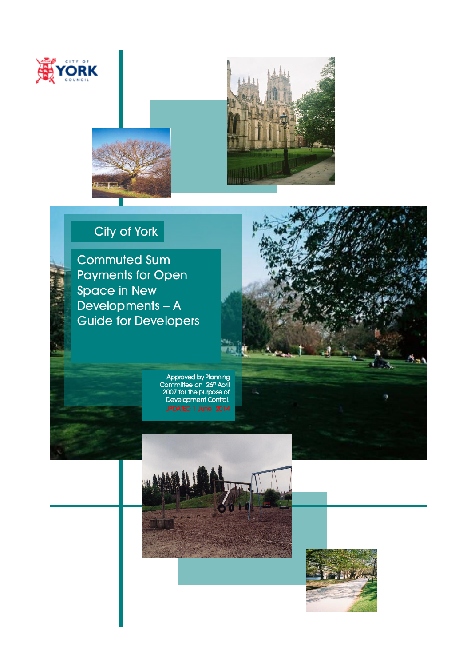

I l



## City of York

Commuted Sum Payments for Open Space in New Developments – A Guide for Developers

> Approved by Planning Committee on 26<sup>th</sup> April 2007 for the purpose of Development Control.



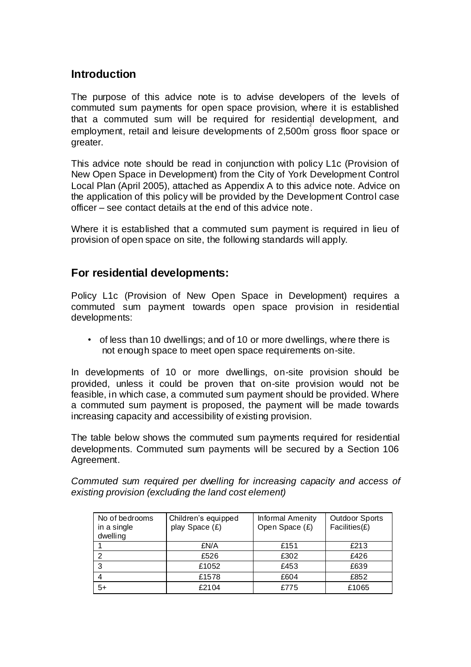## **Introduction**

The purpose of this advice note is to advise developers of the levels of commuted sum payments for open space provision, where it is established that a commuted sum will be required for residential development, and employment, retail and leisure developments of 2,500m<sup>2</sup> gross floor space or greater.

This advice note should be read in conjunction with policy L1c (Provision of New Open Space in Development) from the City of York Development Control Local Plan (April 2005), attached as Appendix A to this advice note. Advice on the application of this policy will be provided by the Development Control case officer – see contact details at the end of this advice note.

Where it is established that a commuted sum payment is required in lieu of provision of open space on site, the following standards will apply.

## **For residential developments:**

Policy L1c (Provision of New Open Space in Development) requires a commuted sum payment towards open space provision in residential developments:

• of less than 10 dwellings; and of 10 or more dwellings, where there is not enough space to meet open space requirements on-site.

In developments of 10 or more dwellings, on-site provision should be provided, unless it could be proven that on-site provision would not be feasible, in which case, a commuted sum payment should be provided. Where a commuted sum payment is proposed, the payment will be made towards increasing capacity and accessibility of existing provision.

The table below shows the commuted sum payments required for residential developments. Commuted sum payments will be secured by a Section 106 Agreement.

*Commuted sum required per dwelling for increasing capacity and access of existing provision (excluding the land cost element)* 

| No of bedrooms<br>in a single<br>dwelling | Children's equipped<br>play Space (£) | Informal Amenity<br>Open Space (£) | <b>Outdoor Sports</b><br>$Facilities(E)$ |
|-------------------------------------------|---------------------------------------|------------------------------------|------------------------------------------|
|                                           | £N/A                                  | £151                               | £213                                     |
|                                           | £526                                  | £302                               | £426                                     |
| 3                                         | £1052                                 | £453                               | £639                                     |
|                                           | £1578                                 | £604                               | £852                                     |
| 5+                                        | £2104                                 | £775                               | £1065                                    |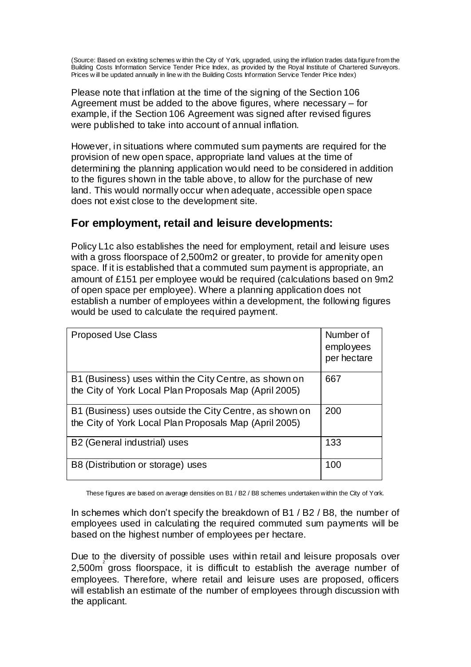(Source: Based on existing schemes w ithin the City of York, upgraded, using the inflation trades data figure from the Building Costs Information Service Tender Price Index, as provided by the Royal Institute of Chartered Surveyors. Prices w ill be updated annually in line w ith the Building Costs Information Service Tender Price Index)

Please note that inflation at the time of the signing of the Section 106 Agreement must be added to the above figures, where necessary – for example, if the Section 106 Agreement was signed after revised figures were published to take into account of annual inflation.

However, in situations where commuted sum payments are required for the provision of new open space, appropriate land values at the time of determining the planning application would need to be considered in addition to the figures shown in the table above, to allow for the purchase of new land. This would normally occur when adequate, accessible open space does not exist close to the development site.

## **For employment, retail and leisure developments:**

Policy L1c also establishes the need for employment, retail and leisure uses with a gross floorspace of 2,500m2 or greater, to provide for amenity open space. If it is established that a commuted sum payment is appropriate, an amount of £151 per employee would be required (calculations based on 9m2 of open space per employee). Where a planning application does not establish a number of employees within a development, the following figures would be used to calculate the required payment.

| <b>Proposed Use Class</b>                                                                                         | Number of<br>employees<br>per hectare |
|-------------------------------------------------------------------------------------------------------------------|---------------------------------------|
| B1 (Business) uses within the City Centre, as shown on<br>the City of York Local Plan Proposals Map (April 2005)  | 667                                   |
| B1 (Business) uses outside the City Centre, as shown on<br>the City of York Local Plan Proposals Map (April 2005) | 200                                   |
| B <sub>2</sub> (General industrial) uses                                                                          | 133                                   |
| B8 (Distribution or storage) uses                                                                                 | 100                                   |

These figures are based on average densities on B1 / B2 / B8 schemes undertaken within the City of York.

In schemes which don't specify the breakdown of B1 / B2 / B8, the number of employees used in calculating the required commuted sum payments will be based on the highest number of employees per hectare.

Due to the diversity of possible uses within retail and leisure proposals over 2,500m 2 gross floorspace, it is difficult to establish the average number of employees. Therefore, where retail and leisure uses are proposed, officers will establish an estimate of the number of employees through discussion with the applicant.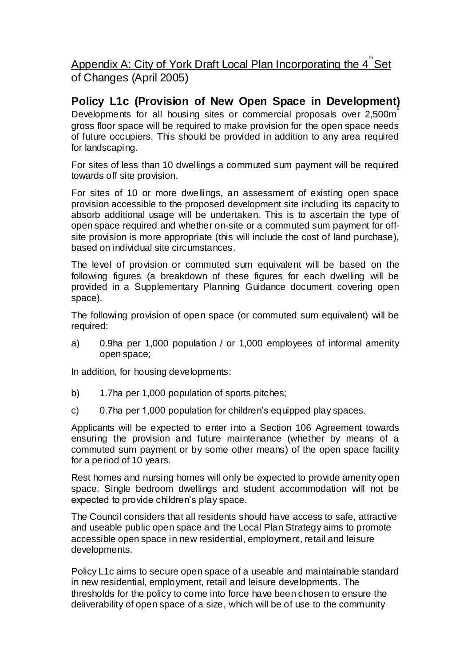Appendix A: City of York Draft Local Plan Incorporating the 4<sup>th</sup> Set of Changes (April 2005)

**Policy L1c (Provision of New Open Space in Development)**  Developments for all housing sites or commercial proposals over 2,500m<sup>2</sup> gross floor space will be required to make provision for the open space needs of future occupiers. This should be provided in addition to any area required for landscaping.

For sites of less than 10 dwellings a commuted sum payment will be required towards off site provision.

For sites of 10 or more dwellings, an assessment of existing open space provision accessible to the proposed development site including its capacity to absorb additional usage will be undertaken. This is to ascertain the type of open space required and whether on-site or a commuted sum payment for offsite provision is more appropriate (this will include the cost of land purchase), based on individual site circumstances.

The level of provision or commuted sum equivalent will be based on the following figures (a breakdown of these figures for each dwelling will be provided in a Supplementary Planning Guidance document covering open space).

The following provision of open space (or commuted sum equivalent) will be required:

a) 0.9ha per 1,000 population / or 1,000 employees of informal amenity open space;

In addition, for housing developments:

- b) 1.7ha per 1,000 population of sports pitches;
- c) 0.7ha per 1,000 population for children's equipped play spaces.

Applicants will be expected to enter into a Section 106 Agreement towards ensuring the provision and future maintenance (whether by means of a commuted sum payment or by some other means) of the open space facility for a period of 10 years.

Rest homes and nursing homes will only be expected to provide amenity open space. Single bedroom dwellings and student accommodation will not be expected to provide children's play space.

The Council considers that all residents should have access to safe, attractive and useable public open space and the Local Plan Strategy aims to promote accessible open space in new residential, employment, retail and leisure developments.

Policy L1c aims to secure open space of a useable and maintainable standard in new residential, employment, retail and leisure developments. The thresholds for the policy to come into force have been chosen to ensure the deliverability of open space of a size, which will be of use to the community